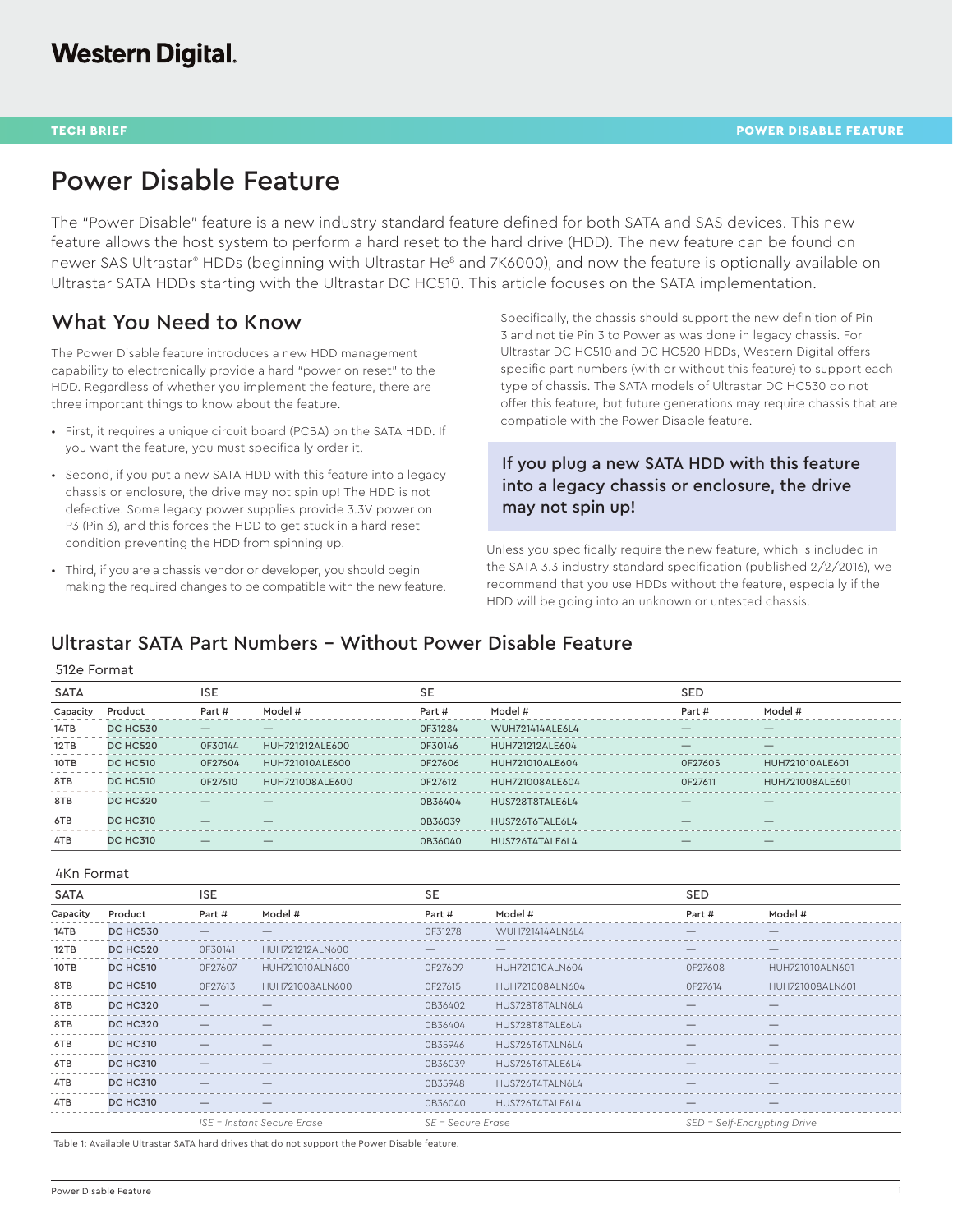# Power Disable Feature

The "Power Disable" feature is a new industry standard feature defined for both SATA and SAS devices. This new feature allows the host system to perform a hard reset to the hard drive (HDD). The new feature can be found on newer SAS Ultrastar® HDDs (beginning with Ultrastar He<sup>8</sup> and 7K6000), and now the feature is optionally available on Ultrastar SATA HDDs starting with the Ultrastar DC HC510. This article focuses on the SATA implementation.

## What You Need to Know

The Power Disable feature introduces a new HDD management capability to electronically provide a hard "power on reset" to the HDD. Regardless of whether you implement the feature, there are three important things to know about the feature.

- First, it requires a unique circuit board (PCBA) on the SATA HDD. If you want the feature, you must specifically order it.
- Second, if you put a new SATA HDD with this feature into a legacy chassis or enclosure, the drive may not spin up! The HDD is not defective. Some legacy power supplies provide 3.3V power on P3 (Pin 3), and this forces the HDD to get stuck in a hard reset condition preventing the HDD from spinning up.
- Third, if you are a chassis vendor or developer, you should begin making the required changes to be compatible with the new feature.

Specifically, the chassis should support the new definition of Pin 3 and not tie Pin 3 to Power as was done in legacy chassis. For Ultrastar DC HC510 and DC HC520 HDDs, Western Digital offers specific part numbers (with or without this feature) to support each type of chassis. The SATA models of Ultrastar DC HC530 do not offer this feature, but future generations may require chassis that are compatible with the Power Disable feature.

### If you plug a new SATA HDD with this feature into a legacy chassis or enclosure, the drive may not spin up!

Unless you specifically require the new feature, which is included in the SATA 3.3 industry standard specification (published 2/2/2016), we recommend that you use HDDs without the feature, especially if the HDD will be going into an unknown or untested chassis.

### Ultrastar SATA Part Numbers - Without Power Disable Feature

|  | 512e Format |
|--|-------------|
|--|-------------|

| <b>SATA</b> |                 | <b>ISE</b>               |                 | <b>SE</b> |                 | <b>SED</b> |                          |  |
|-------------|-----------------|--------------------------|-----------------|-----------|-----------------|------------|--------------------------|--|
| Capacity    | Product         | Part #                   | Model #         | Part #    | Model #         | Part #     | Model #                  |  |
| 14TB        | <b>DC HC530</b> |                          |                 | 0F31284   | WUH721414ALE6L4 |            |                          |  |
| 12TB        | <b>DC HC520</b> | 0F30144                  | HUH721212ALE600 | 0F30146   | HUH721212ALE604 |            |                          |  |
| 10TB        | <b>DC HC510</b> | 0F27604                  | HUH721010ALE600 | 0F27606   | HUH721010ALE604 | 0F27605    | HUH721010ALE601          |  |
| 8TB         | <b>DC HC510</b> | 0F27610                  | HUH721008ALE600 | OF27612   | HUH721008ALE604 | OF27611    | HUH721008ALE601          |  |
| 8TB         | <b>DC HC320</b> |                          |                 | 0B36404   | HUS728T8TALE6L4 | $-$        | —                        |  |
| 6TB         | <b>DC HC310</b> | $\overline{\phantom{0}}$ | —               | 0B36039   | HUS726T6TALE6L4 | —          | $\overline{\phantom{0}}$ |  |
| 4TB         | <b>DC HC310</b> |                          | —               | 0B36040   | HUS726T4TALE6L4 |            |                          |  |

#### 4Kn Format

| <b>SATA</b> |                 | <b>ISE</b>                     |                            | <b>SE</b>         |                 | <b>SED</b>                  |                          |
|-------------|-----------------|--------------------------------|----------------------------|-------------------|-----------------|-----------------------------|--------------------------|
| Capacity    | Product         | Part #                         | Model #                    | Part #            | Model #         | Part #                      | Model #                  |
| 14TB        | <b>DC HC530</b> |                                |                            | OF31278           | WUH721414ALN6L4 |                             | $\overline{\phantom{0}}$ |
| 12TB        | <b>DC HC520</b> | OF30141                        | HUH721212ALN600            |                   |                 |                             |                          |
| 10TB        | <b>DC HC510</b> | 0F27607                        | HUH721010ALN600            | 0F27609           | HUH721010ALN604 | 0F27608                     | HUH721010ALN601          |
| 8TB         | <b>DC HC510</b> | OF27613                        | HUH721008ALN600            | OF27615           | HUH721008ALN604 | OF27614                     | HUH721008ALN601          |
| 8TB         | <b>DC HC320</b> |                                |                            | 0B36402           | HUS728T8TALN6L4 |                             |                          |
| 8TB         | <b>DC HC320</b> |                                |                            | 0B36404           | HUS728T8TALE6L4 |                             |                          |
| 6TB         | <b>DC HC310</b> |                                |                            | 0B35946           | HUS726T6TALN6L4 |                             |                          |
| 6TB         | <b>DC HC310</b> |                                |                            | 0B36039           | HUS726T6TALE6L4 |                             |                          |
| 4TB         | <b>DC HC310</b> |                                |                            | 0B35948           | HUS726T4TALN6L4 |                             |                          |
| 4TB         | <b>DC HC310</b> | $\qquad \qquad \longleftarrow$ | –                          | 0B36040           | HUS726T4TALE6L4 | $\overline{\phantom{0}}$    |                          |
|             |                 |                                | ISE = Instant Secure Erase | SE = Secure Erase |                 | SED = Self-Encrypting Drive |                          |

Table 1: Available Ultrastar SATA hard drives that do not support the Power Disable feature.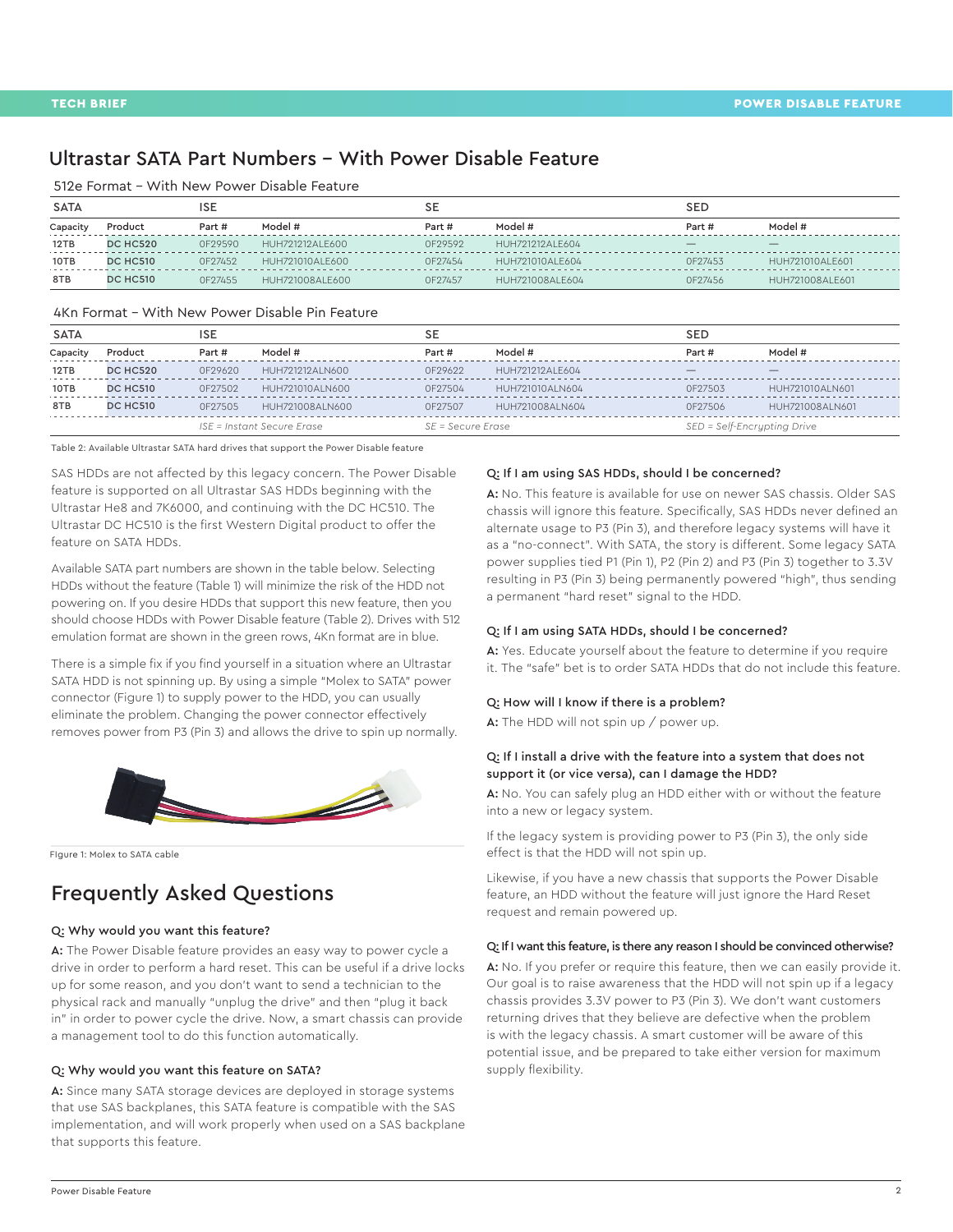### Ultrastar SATA Part Numbers - With Power Disable Feature

512e Format - With New Power Disable Feature

| SATA     |                 | ISE     |                 |         |                 | <b>SED</b> |                 |
|----------|-----------------|---------|-----------------|---------|-----------------|------------|-----------------|
| Capacity | Product         | Part #  | Model #         | Part #  | Model #         | Part #     | Model #         |
| 12TB     | <b>DC HC520</b> | 0F29590 | HUH721212ALE600 | OF29592 | HUH721212ALE604 |            |                 |
| 10TB     | <b>DC HC510</b> | OF27452 | HUH721010ALE600 | OF27454 | HUH721010ALE604 | OF27453    | HUH721010ALE601 |
| 8TB      | <b>DC HC510</b> | OF27455 | HUH721008ALE600 | OF27457 | HUH721008ALE604 | 0F27456    | HUH721008ALE601 |

#### 4Kn Format - With New Power Disable Pin Feature

| <b>SATA</b> |                 | ISE                        |                 | SE                |                 | <b>SED</b>                  |                 |
|-------------|-----------------|----------------------------|-----------------|-------------------|-----------------|-----------------------------|-----------------|
| Capacity    | Product         | Part #                     | Model #         | Part #            | Model #         | Part #                      | Model #         |
| 12TB        | <b>DC HC520</b> | 0F29620                    | HUH721212ALN600 | 0F29622           | HUH721212ALE604 |                             |                 |
| 10TB        | <b>DC HC510</b> | 0F27502                    | HUH721010ALN600 | 0F27504           | HUH721010ALN604 | 0F27503                     | HUH721010ALN601 |
| 8TB         | <b>DC HC510</b> | OF27505                    | HUH721008ALN600 | 0F27507           | HUH721008ALN604 | 0F27506                     | HUH721008ALN601 |
|             |                 | ISE = Instant Secure Erase |                 | SE = Secure Erase |                 | SED = Self-Encrypting Drive |                 |

Table 2: Available Ultrastar SATA hard drives that support the Power Disable feature

SAS HDDs are not affected by this legacy concern. The Power Disable feature is supported on all Ultrastar SAS HDDs beginning with the Ultrastar He8 and 7K6000, and continuing with the DC HC510. The Ultrastar DC HC510 is the first Western Digital product to offer the feature on SATA HDDs.

Available SATA part numbers are shown in the table below. Selecting HDDs without the feature (Table 1) will minimize the risk of the HDD not powering on. If you desire HDDs that support this new feature, then you should choose HDDs with Power Disable feature (Table 2). Drives with 512 emulation format are shown in the green rows, 4Kn format are in blue.

There is a simple fix if you find yourself in a situation where an Ultrastar SATA HDD is not spinning up. By using a simple "Molex to SATA" power connector (Figure 1) to supply power to the HDD, you can usually eliminate the problem. Changing the power connector effectively removes power from P3 (Pin 3) and allows the drive to spin up normally.



FIgure 1: Molex to SATA cable

## Frequently Asked Questions

#### Q: Why would you want this feature?

A: The Power Disable feature provides an easy way to power cycle a drive in order to perform a hard reset. This can be useful if a drive locks up for some reason, and you don't want to send a technician to the physical rack and manually "unplug the drive" and then "plug it back in" in order to power cycle the drive. Now, a smart chassis can provide a management tool to do this function automatically.

#### Q: Why would you want this feature on SATA?

A: Since many SATA storage devices are deployed in storage systems that use SAS backplanes, this SATA feature is compatible with the SAS implementation, and will work properly when used on a SAS backplane that supports this feature.

#### Q: If I am using SAS HDDs, should I be concerned?

A: No. This feature is available for use on newer SAS chassis. Older SAS chassis will ignore this feature. Specifically, SAS HDDs never defined an alternate usage to P3 (Pin 3), and therefore legacy systems will have it as a "no-connect". With SATA, the story is different. Some legacy SATA power supplies tied P1 (Pin 1), P2 (Pin 2) and P3 (Pin 3) together to 3.3V resulting in P3 (Pin 3) being permanently powered "high", thus sending a permanent "hard reset" signal to the HDD.

#### Q: If I am using SATA HDDs, should I be concerned?

A: Yes. Educate yourself about the feature to determine if you require it. The "safe" bet is to order SATA HDDs that do not include this feature.

#### Q: How will I know if there is a problem?

A: The HDD will not spin up / power up.

### Q: If I install a drive with the feature into a system that does not support it (or vice versa), can I damage the HDD?

A: No. You can safely plug an HDD either with or without the feature into a new or legacy system.

If the legacy system is providing power to P3 (Pin 3), the only side effect is that the HDD will not spin up.

Likewise, if you have a new chassis that supports the Power Disable feature, an HDD without the feature will just ignore the Hard Reset request and remain powered up.

#### Q: If I want this feature, is there any reason I should be convinced otherwise?

A: No. If you prefer or require this feature, then we can easily provide it. Our goal is to raise awareness that the HDD will not spin up if a legacy chassis provides 3.3V power to P3 (Pin 3). We don't want customers returning drives that they believe are defective when the problem is with the legacy chassis. A smart customer will be aware of this potential issue, and be prepared to take either version for maximum supply flexibility.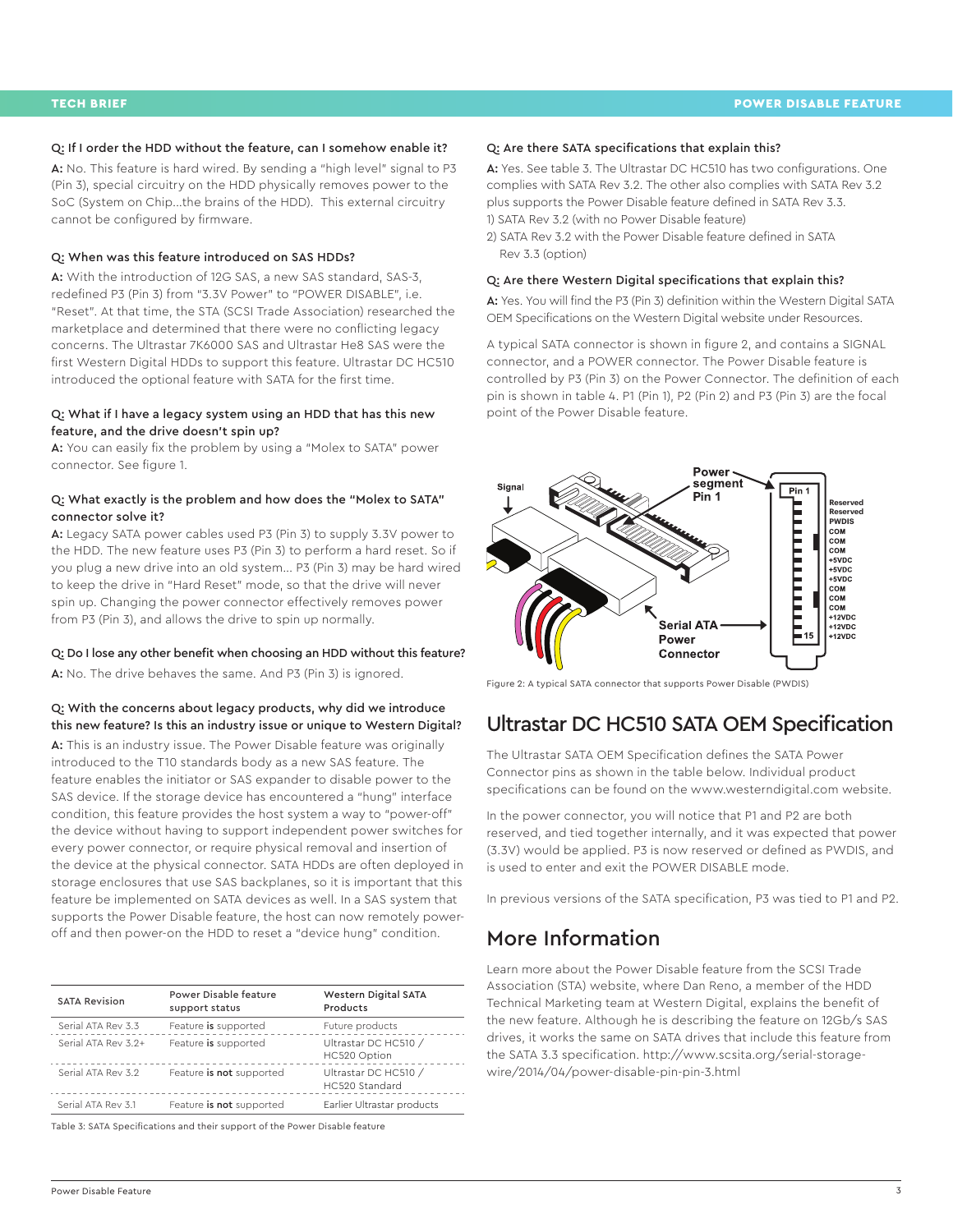#### Q: If I order the HDD without the feature, can I somehow enable it?

A: No. This feature is hard wired. By sending a "high level" signal to P3 (Pin 3), special circuitry on the HDD physically removes power to the SoC (System on Chip...the brains of the HDD). This external circuitry cannot be configured by firmware.

#### Q: When was this feature introduced on SAS HDDs?

A: With the introduction of 12G SAS, a new SAS standard, SAS-3, redefined P3 (Pin 3) from "3.3V Power" to "POWER DISABLE", i.e. "Reset". At that time, the STA (SCSI Trade Association) researched the marketplace and determined that there were no conflicting legacy concerns. The Ultrastar 7K6000 SAS and Ultrastar He8 SAS were the first Western Digital HDDs to support this feature. Ultrastar DC HC510 introduced the optional feature with SATA for the first time.

#### Q: What if I have a legacy system using an HDD that has this new feature, and the drive doesn't spin up?

A: You can easily fix the problem by using a "Molex to SATA" power connector. See figure 1.

### Q: What exactly is the problem and how does the "Molex to SATA" connector solve it?

A: Legacy SATA power cables used P3 (Pin 3) to supply 3.3V power to the HDD. The new feature uses P3 (Pin 3) to perform a hard reset. So if you plug a new drive into an old system... P3 (Pin 3) may be hard wired to keep the drive in "Hard Reset" mode, so that the drive will never spin up. Changing the power connector effectively removes power from P3 (Pin 3), and allows the drive to spin up normally.

#### Q: Do I lose any other benefit when choosing an HDD without this feature?

A: No. The drive behaves the same. And P3 (Pin 3) is ignored.

#### Q: With the concerns about legacy products, why did we introduce this new feature? Is this an industry issue or unique to Western Digital?

A: This is an industry issue. The Power Disable feature was originally introduced to the T10 standards body as a new SAS feature. The feature enables the initiator or SAS expander to disable power to the SAS device. If the storage device has encountered a "hung" interface condition, this feature provides the host system a way to "power-off" the device without having to support independent power switches for every power connector, or require physical removal and insertion of the device at the physical connector. SATA HDDs are often deployed in storage enclosures that use SAS backplanes, so it is important that this feature be implemented on SATA devices as well. In a SAS system that supports the Power Disable feature, the host can now remotely poweroff and then power-on the HDD to reset a "device hung" condition.

| <b>SATA Revision</b> | Power Disable feature<br>support status | <b>Western Digital SATA</b><br>Products |
|----------------------|-----------------------------------------|-----------------------------------------|
| Serial ATA Rev 3.3   | Feature is supported                    | Future products                         |
| Serial ATA Rev 3.2+  | Feature is supported                    | Ultrastar DC HC510 /<br>HC520 Option    |
| Serial ATA Rev 3.2   | Feature is not supported                | Ultrastar DC HC510 /<br>HC520 Standard  |
| Serial ATA Rev 3.1   | Feature is not supported                | Earlier Ultrastar products              |

Table 3: SATA Specifications and their support of the Power Disable feature

#### Q: Are there SATA specifications that explain this?

A: Yes. See table 3. The Ultrastar DC HC510 has two configurations. One complies with SATA Rev 3.2. The other also complies with SATA Rev 3.2 plus supports the Power Disable feature defined in SATA Rev 3.3. 1) SATA Rev 3.2 (with no Power Disable feature)

2) SATA Rev 3.2 with the Power Disable feature defined in SATA Rev 3.3 (option)

#### Q: Are there Western Digital specifications that explain this?

A: Yes. You will find the P3 (Pin 3) definition within the Western Digital SATA OEM Specifications on the Western Digital website under Resources.

A typical SATA connector is shown in figure 2, and contains a SIGNAL connector, and a POWER connector. The Power Disable feature is controlled by P3 (Pin 3) on the Power Connector. The definition of each pin is shown in table 4. P1 (Pin 1), P2 (Pin 2) and P3 (Pin 3) are the focal point of the Power Disable feature.



Figure 2: A typical SATA connector that supports Power Disable (PWDIS)

### Ultrastar DC HC510 SATA OEM Specification

The Ultrastar SATA OEM Specification defines the SATA Power Connector pins as shown in the table below. Individual product specifications can be found on the [www.westerndigital.com](http://www.westerndigital.com) website.

In the power connector, you will notice that P1 and P2 are both reserved, and tied together internally, and it was expected that power (3.3V) would be applied. P3 is now reserved or defined as PWDIS, and is used to enter and exit the POWER DISABLE mode.

In previous versions of the SATA specification, P3 was tied to P1 and P2.

## More Information

Learn more about the Power Disable feature from the SCSI Trade Association (STA) website, where Dan Reno, a member of the HDD Technical Marketing team at Western Digital, explains the benefit of the new feature. Although he is describing the feature on 12Gb/s SAS drives, it works the same on SATA drives that include this feature from the SATA 3.3 specification. [http://www.scsita.org/serial-storage](http://www.scsita.org/serial-storage-wire/2014/04/power-disable-pin-pin-3.html)[wire/2014/04/power-disable-pin-pin-3.html](http://www.scsita.org/serial-storage-wire/2014/04/power-disable-pin-pin-3.html)